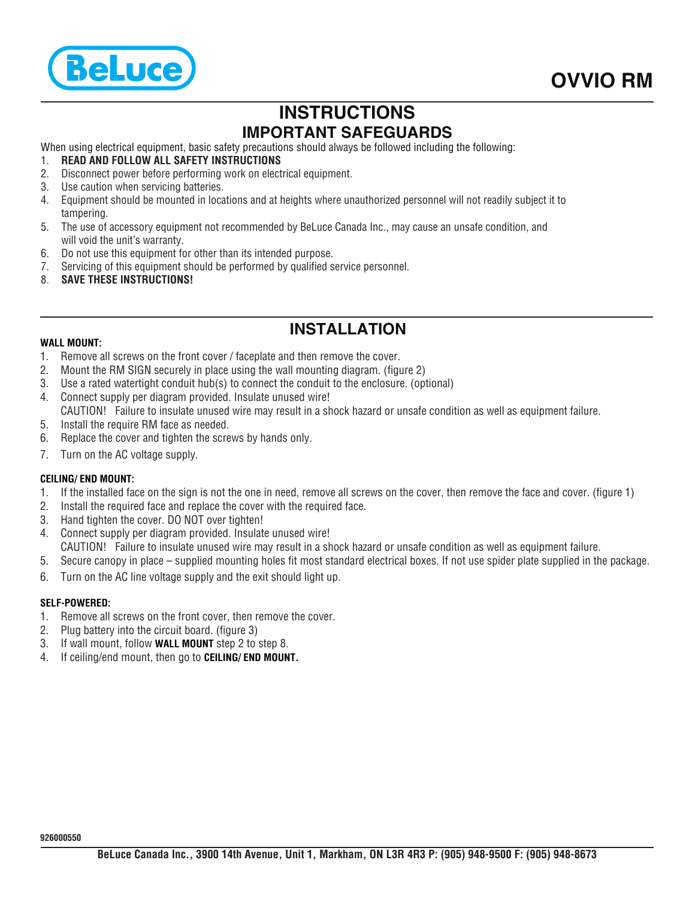

# **INSTRUCTIONS IMPORTANT SAFEGUARDS**

When using electrical equipment, basic safety precautions should always be followed including the following:

- 1. **READ AND FOLLOW ALL SAFETY INSTRUCTIONS**
- 2. Disconnect power before performing work on electrical equipment.
- 3. Use caution when servicing batteries.
- 4. Equipment should be mounted in locations and at heights where unauthorized personnel will not readily subject it to tampering.
- 5. The use of accessory equipment not recommended by BeLuce Canada Inc., may cause an unsafe condition, and will void the unit's warranty.
- 6. Do not use this equipment for other than its intended purpose.
- 7. Servicing of this equipment should be performed by qualified service personnel.
- 8. **SAVE THESE INSTRUCTIONS!**

## **INSTALLATION**

### **WALL MOUNT:**

- 1. Remove all screws on the front cover / faceplate and then remove the cover.
- 2. Mount the RM SIGN securely in place using the wall mounting diagram. (figure 2)
- 3. Use a rated watertight conduit hub(s) to connect the conduit to the enclosure. (optional)
- 4. Connect supply per diagram provided. Insulate unused wire!
- CAUTION! Failure to insulate unused wire may result in a shock hazard or unsafe condition as well as equipment failure.
- 5. Install the require RM face as needed.
- 6. Replace the cover and tighten the screws by hands only.
- 7. Turn on the AC voltage supply.

### **CEILING/ END MOUNT:**

- 1. If the installed face on the sign is not the one in need, remove all screws on the cover, then remove the face and cover. (figure 1)
- 2. Install the required face and replace the cover with the required face.
- 3. Hand tighten the cover. DO NOT over tighten!
- 4. Connect supply per diagram provided. Insulate unused wire! CAUTION! Failure to insulate unused wire may result in a shock hazard or unsafe condition as well as equipment failure.
- 5. Secure canopy in place supplied mounting holes fit most standard electrical boxes. If not use spider plate supplied in the package.
- 6. Turn on the AC line voltage supply and the exit should light up.

### **SELF-POWERED:**

- 1. Remove all screws on the front cover, then remove the cover.
- 2. Plug battery into the circuit board. (figure 3)
- 3. If wall mount, follow **WALL MOUNT** step 2 to step 8.
- 4. If ceiling/end mount, then go to **CEILING/ END MOUNT.**